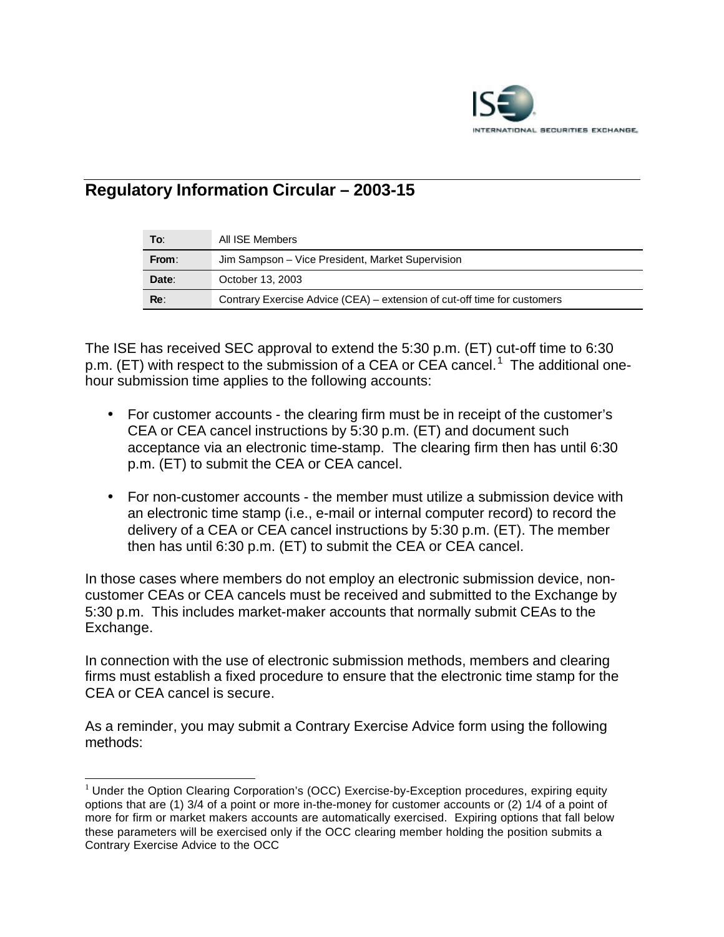

## **Regulatory Information Circular – 2003-15**

| To:   | All ISE Members                                                          |
|-------|--------------------------------------------------------------------------|
| From: | Jim Sampson – Vice President, Market Supervision                         |
| Date: | October 13, 2003                                                         |
| Re:   | Contrary Exercise Advice (CEA) – extension of cut-off time for customers |

The ISE has received SEC approval to extend the 5:30 p.m. (ET) cut-off time to 6:30 p.m. (ET) with respect to the submission of a CEA or CEA cancel.<sup>1</sup> The additional onehour submission time applies to the following accounts:

- For customer accounts the clearing firm must be in receipt of the customer's CEA or CEA cancel instructions by 5:30 p.m. (ET) and document such acceptance via an electronic time-stamp. The clearing firm then has until 6:30 p.m. (ET) to submit the CEA or CEA cancel.
- For non-customer accounts the member must utilize a submission device with an electronic time stamp (i.e., e-mail or internal computer record) to record the delivery of a CEA or CEA cancel instructions by 5:30 p.m. (ET). The member then has until 6:30 p.m. (ET) to submit the CEA or CEA cancel.

In those cases where members do not employ an electronic submission device, noncustomer CEAs or CEA cancels must be received and submitted to the Exchange by 5:30 p.m. This includes market-maker accounts that normally submit CEAs to the Exchange.

In connection with the use of electronic submission methods, members and clearing firms must establish a fixed procedure to ensure that the electronic time stamp for the CEA or CEA cancel is secure.

As a reminder, you may submit a Contrary Exercise Advice form using the following methods:

l

 $<sup>1</sup>$  Under the Option Clearing Corporation's (OCC) Exercise-by-Exception procedures, expiring equity</sup> options that are (1) 3/4 of a point or more in-the-money for customer accounts or (2) 1/4 of a point of more for firm or market makers accounts are automatically exercised. Expiring options that fall below these parameters will be exercised only if the OCC clearing member holding the position submits a Contrary Exercise Advice to the OCC